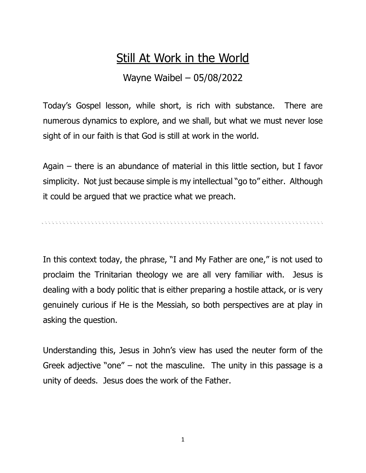## **Still At Work in the World**

## Wayne Waibel – 05/08/2022

Today's Gospel lesson, while short, is rich with substance. There are numerous dynamics to explore, and we shall, but what we must never lose sight of in our faith is that God is still at work in the world.

Again – there is an abundance of material in this little section, but I favor simplicity. Not just because simple is my intellectual "go to" either. Although it could be argued that we practice what we preach.

In this context today, the phrase, "I and My Father are one," is not used to proclaim the Trinitarian theology we are all very familiar with. Jesus is dealing with a body politic that is either preparing a hostile attack, or is very genuinely curious if He is the Messiah, so both perspectives are at play in asking the question.

Understanding this, Jesus in John's view has used the neuter form of the Greek adjective "one" – not the masculine. The unity in this passage is a unity of deeds. Jesus does the work of the Father.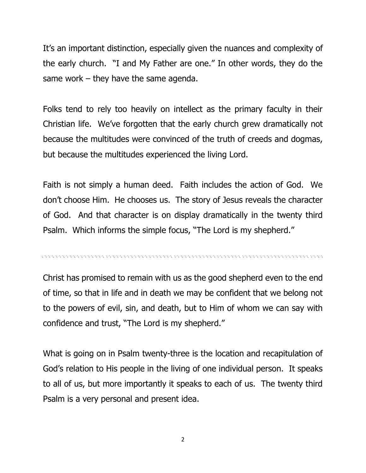It's an important distinction, especially given the nuances and complexity of the early church. "I and My Father are one." In other words, they do the same work – they have the same agenda.

Folks tend to rely too heavily on intellect as the primary faculty in their Christian life. We've forgotten that the early church grew dramatically not because the multitudes were convinced of the truth of creeds and dogmas, but because the multitudes experienced the living Lord.

Faith is not simply a human deed. Faith includes the action of God. We don't choose Him. He chooses us. The story of Jesus reveals the character of God. And that character is on display dramatically in the twenty third Psalm. Which informs the simple focus, "The Lord is my shepherd."

Christ has promised to remain with us as the good shepherd even to the end of time, so that in life and in death we may be confident that we belong not to the powers of evil, sin, and death, but to Him of whom we can say with confidence and trust, "The Lord is my shepherd."

What is going on in Psalm twenty-three is the location and recapitulation of God's relation to His people in the living of one individual person. It speaks to all of us, but more importantly it speaks to each of us. The twenty third Psalm is a very personal and present idea.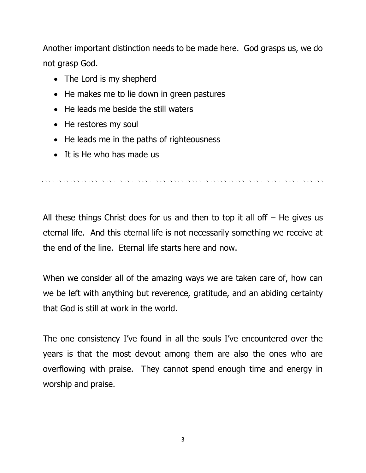Another important distinction needs to be made here. God grasps us, we do not grasp God.

- The Lord is my shepherd
- He makes me to lie down in green pastures
- He leads me beside the still waters
- He restores my soul
- He leads me in the paths of righteousness
- It is He who has made us

All these things Christ does for us and then to top it all off  $-$  He gives us eternal life. And this eternal life is not necessarily something we receive at the end of the line. Eternal life starts here and now.

When we consider all of the amazing ways we are taken care of, how can we be left with anything but reverence, gratitude, and an abiding certainty that God is still at work in the world.

The one consistency I've found in all the souls I've encountered over the years is that the most devout among them are also the ones who are overflowing with praise. They cannot spend enough time and energy in worship and praise.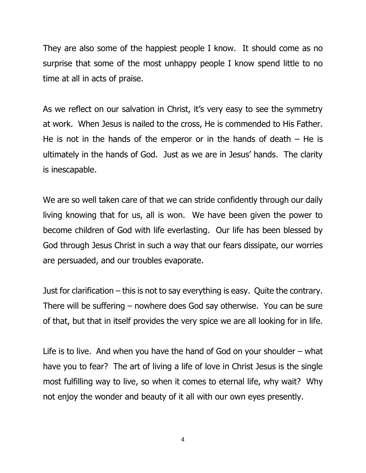They are also some of the happiest people I know. It should come as no surprise that some of the most unhappy people I know spend little to no time at all in acts of praise.

As we reflect on our salvation in Christ, it's very easy to see the symmetry at work. When Jesus is nailed to the cross, He is commended to His Father. He is not in the hands of the emperor or in the hands of death  $-$  He is ultimately in the hands of God. Just as we are in Jesus' hands. The clarity is inescapable.

We are so well taken care of that we can stride confidently through our daily living knowing that for us, all is won. We have been given the power to become children of God with life everlasting. Our life has been blessed by God through Jesus Christ in such a way that our fears dissipate, our worries are persuaded, and our troubles evaporate.

Just for clarification – this is not to say everything is easy. Quite the contrary. There will be suffering – nowhere does God say otherwise. You can be sure of that, but that in itself provides the very spice we are all looking for in life.

Life is to live. And when you have the hand of God on your shoulder – what have you to fear? The art of living a life of love in Christ Jesus is the single most fulfilling way to live, so when it comes to eternal life, why wait? Why not enjoy the wonder and beauty of it all with our own eyes presently.